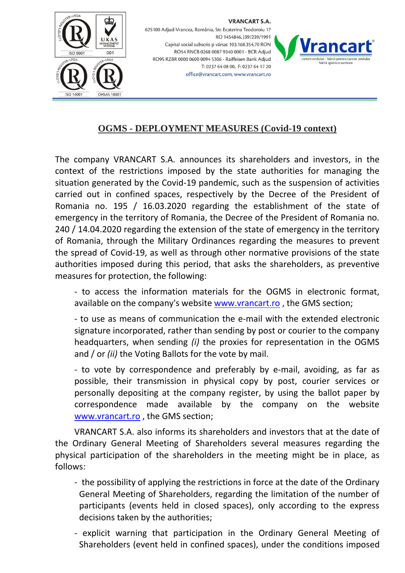

**VRANCART S.A.** 625100 Adjud-Vrancea, România, Str. Ecaterina Teodoroiu 17 RO 1454846, 139/239/1991 Capital social subscris și vărsat 103.168.354,70 RON RO54 RNCB 0268 0087 9340 0001 - BCR Adjud RO95 RZBR 0000 0600 0094 5306 - Raiffeisen Bank Adjud T: 0237 64 08 00, F: 0237 64 17 20 office@vrancart.com, www.vrancart.ro



## **OGMS - DEPLOYMENT MEASURES (Covid-19 context)**

The company VRANCART S.A. announces its shareholders and investors, in the context of the restrictions imposed by the state authorities for managing the situation generated by the Covid-19 pandemic, such as the suspension of activities carried out in confined spaces, respectively by the Decree of the President of Romania no. 195 / 16.03.2020 regarding the establishment of the state of emergency in the territory of Romania, the Decree of the President of Romania no. 240 / 14.04.2020 regarding the extension of the state of emergency in the territory of Romania, through the Military Ordinances regarding the measures to prevent the spread of Covid-19, as well as through other normative provisions of the state authorities imposed during this period, that asks the shareholders, as preventive measures for protection, the following:

- to access the information materials for the OGMS in electronic format, available on the company's website [www.vrancart.ro](http://www.vrancart.ro/) , the GMS section;

- to use as means of communication the e-mail with the extended electronic signature incorporated, rather than sending by post or courier to the company headquarters, when sending *(i)* the proxies for representation in the OGMS and / or *(ii)* the Voting Ballots for the vote by mail.

- to vote by correspondence and preferably by e-mail, avoiding, as far as possible, their transmission in physical copy by post, courier services or personally depositing at the company register, by using the ballot paper by correspondence made available by the company on the website [www.vrancart.ro](http://www.vrancart.ro/) , the GMS section;

VRANCART S.A. also informs its shareholders and investors that at the date of the Ordinary General Meeting of Shareholders several measures regarding the physical participation of the shareholders in the meeting might be in place, as follows:

- the possibility of applying the restrictions in force at the date of the Ordinary General Meeting of Shareholders, regarding the limitation of the number of participants (events held in closed spaces), only according to the express decisions taken by the authorities;
- explicit warning that participation in the Ordinary General Meeting of Shareholders (event held in confined spaces), under the conditions imposed